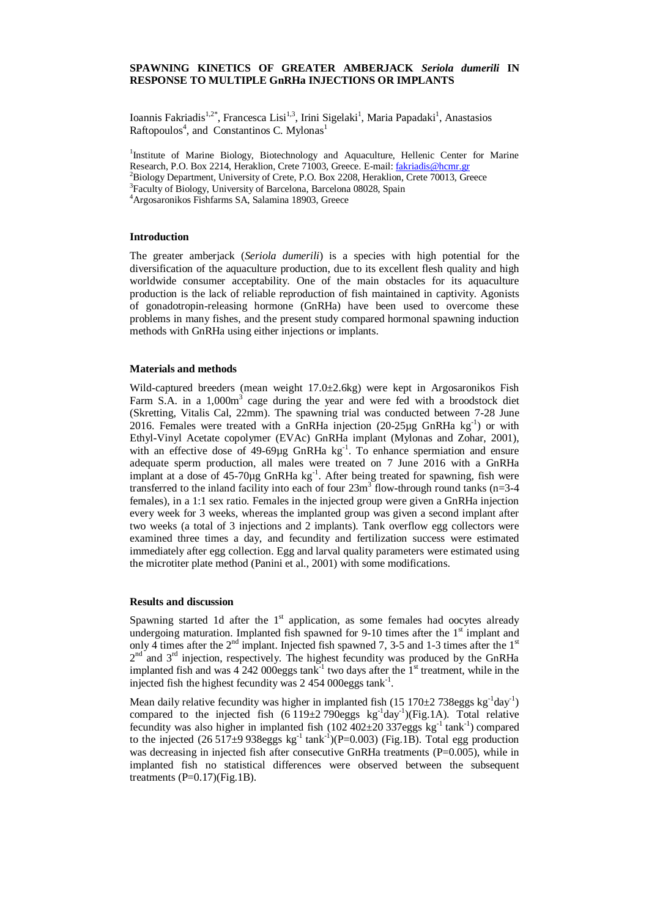# **SPAWNING KINETICS OF GREATER AMBERJACK** *Seriola dumerili* **IN RESPONSE TO MULTIPLE GnRHa INJECTIONS OR IMPLANTS**

Ioannis Fakriadis<sup>1,2\*</sup>, Francesca Lisi<sup>1,3</sup>, Irini Sigelaki<sup>1</sup>, Maria Papadaki<sup>1</sup>, Anastasios Raftopoulos<sup>4</sup>, and Constantinos C. Mylonas<sup>1</sup>

<sup>1</sup>Institute of Marine Biology, Biotechnology and Aquaculture, Hellenic Center for Marine Research, P.O. Box 2214, Heraklion, Crete 71003, Greece. E-mail: [fakriadis@hcmr.gr](mailto:fakriadis@hcmr.gr) <sup>2</sup>Biology Department, University of Crete, P.O. Box 2208, Heraklion, Crete 70013, Greece

<sup>3</sup>Faculty of Biology, University of Barcelona, Barcelona 08028, Spain

<sup>4</sup>Argosaronikos Fishfarms SA, Salamina 18903, Greece

#### **Introduction**

The greater amberjack (*Seriola dumerili*) is a species with high potential for the diversification of the aquaculture production, due to its excellent flesh quality and high worldwide consumer acceptability. One of the main obstacles for its aquaculture production is the lack of reliable reproduction of fish maintained in captivity. Agonists of gonadotropin-releasing hormone (GnRHa) have been used to overcome these problems in many fishes, and the present study compared hormonal spawning induction methods with GnRHa using either injections or implants.

#### **Materials and methods**

Wild-captured breeders (mean weight 17.0±2.6kg) were kept in Argosaronikos Fish Farm S.A. in a 1,000m<sup>3</sup> cage during the year and were fed with a broodstock diet (Skretting, Vitalis Cal, 22mm). The spawning trial was conducted between 7-28 June 2016. Females were treated with a GnRHa injection  $(20-25\mu g \text{ GnR}Ha \text{ kg}^{-1})$  or with Ethyl-Vinyl Acetate copolymer (EVAc) GnRHa implant (Mylonas and Zohar, 2001), with an effective dose of  $49-69\mu g$  GnRHa kg<sup>-1</sup>. To enhance spermiation and ensure adequate sperm production, all males were treated on 7 June 2016 with a GnRHa implant at a dose of  $45-70\mu g$  GnRHa  $\text{kg}^{-1}$ . After being treated for spawning, fish were transferred to the inland facility into each of four  $23m<sup>3</sup>$  flow-through round tanks (n=3-4 females), in a 1:1 sex ratio. Females in the injected group were given a GnRHa injection every week for 3 weeks, whereas the implanted group was given a second implant after two weeks (a total of 3 injections and 2 implants). Tank overflow egg collectors were examined three times a day, and fecundity and fertilization success were estimated immediately after egg collection. Egg and larval quality parameters were estimated using the microtiter plate method (Panini et al., 2001) with some modifications.

#### **Results and discussion**

Spawning started 1d after the  $1<sup>st</sup>$  application, as some females had oocytes already undergoing maturation. Implanted fish spawned for 9-10 times after the  $1<sup>st</sup>$  implant and only 4 times after the  $2<sup>nd</sup>$  implant. Injected fish spawned 7, 3-5 and 1-3 times after the 1<sup>st</sup>  $2<sup>nd</sup>$  and  $3<sup>rd</sup>$  injection, respectively. The highest fecundity was produced by the GnRHa implanted fish and was  $4\,242\,000$ eggs tank<sup>-1</sup> two days after the  $1<sup>st</sup>$  treatment, while in the injected fish the highest fecundity was 2 454 000eggs tank<sup>-1</sup>.

Mean daily relative fecundity was higher in implanted fish  $(15\ 170\pm2\ 738 \text{eggs kg}^{-1} \text{day}^{-1})$ compared to the injected fish  $(6\ 119\pm 2\ 790$ eggs kg<sup>-1</sup>day<sup>-1</sup>)(Fig.1A). Total relative fecundity was also higher in implanted fish  $(102\,402\pm20\,337$ eggs kg<sup>-1</sup> tank<sup>-1</sup>) compared to the injected  $(26517±9938eggs kg<sup>-1</sup> tank<sup>-1</sup>)(P=0.003)$  (Fig.1B). Total egg production was decreasing in injected fish after consecutive GnRHa treatments  $(P=0.005)$ , while in implanted fish no statistical differences were observed between the subsequent treatments  $(P=0.17)$ (Fig.1B).